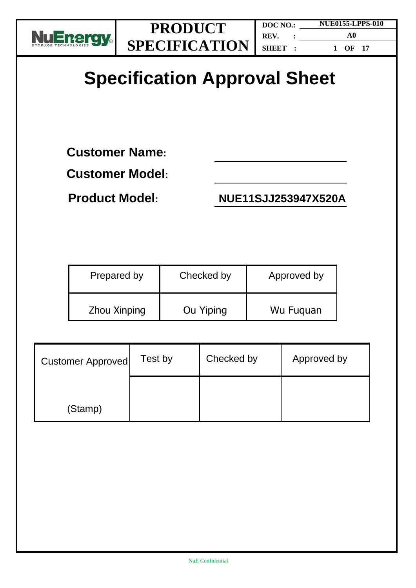

# **Specification Approval Sheet**

**Customer Name:** 

**Customer Model:**

**Product Model: NUE11SJJ253947X520A**

| Prepared by  | Checked by | Approved by |
|--------------|------------|-------------|
| Zhou Xinping | Ou Yiping  | Wu Fuguan   |

| <b>Customer Approved</b> | Test by | Checked by | Approved by |
|--------------------------|---------|------------|-------------|
| (Stamp)                  |         |            |             |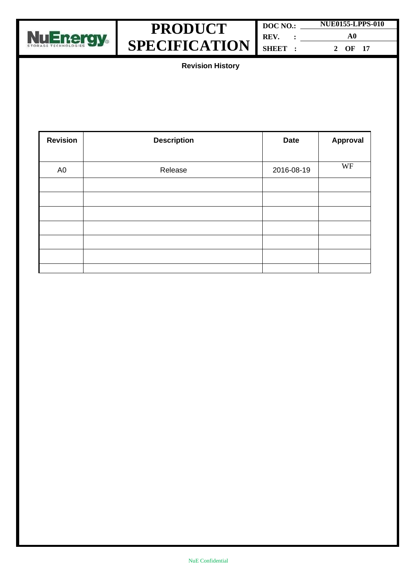



| DOC NO.: | <b>NUE0155-LPPS-010</b> |  |
|----------|-------------------------|--|
| REV.     | A0                      |  |
| SHEET:   | OF 17                   |  |

**Revision History**

| <b>Revision</b> | <b>Description</b> | <b>Date</b> | Approval |
|-----------------|--------------------|-------------|----------|
|                 |                    |             |          |
| A <sub>0</sub>  | Release            | 2016-08-19  | WF       |
|                 |                    |             |          |
|                 |                    |             |          |
|                 |                    |             |          |
|                 |                    |             |          |
|                 |                    |             |          |
|                 |                    |             |          |
|                 |                    |             |          |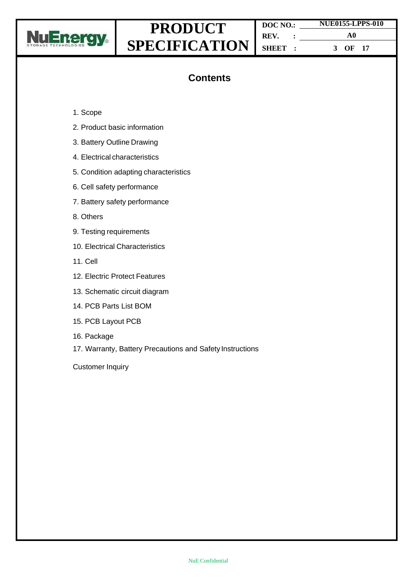

| DOC NO.: | <b>NUE0155-LPPS-010</b> |  |
|----------|-------------------------|--|
| REV.     | A0                      |  |
| SHEET :  | 3 OF 17                 |  |

### **Contents**

- 1. Scope
- 2. Product basic information
- 3. Battery Outline Drawing
- 4. Electrical characteristics
- 5. Condition adapting characteristics
- 6. Cell safety performance
- 7. Battery safety performance
- 8. Others
- 9. Testing requirements
- 10. Electrical Characteristics
- 11. Cell
- 12. Electric Protect Features
- 13. Schematic circuit diagram
- 14. PCB Parts List BOM
- 15. PCB Layout PCB
- 16. Package
- 17. Warranty, Battery Precautions and Safety Instructions

Customer Inquiry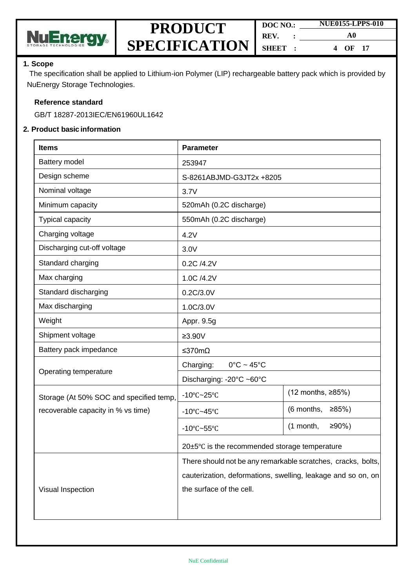

| DOC NO. | <b>NUE0155-LPPS-010</b> |  |  |
|---------|-------------------------|--|--|
| REV.    | A0                      |  |  |
| SHEET : | OF 17<br>4              |  |  |

#### **1. Scope**

The specification shall be applied to Lithium-ion Polymer (LIP) rechargeable battery pack which is provided by NuEnergy Storage Technologies.

#### **Reference standard**

GB/T 18287-2013IEC/EN61960UL1642

#### **2. Product basic information**

| <b>Items</b>                            | <b>Parameter</b>                                             |                         |  |
|-----------------------------------------|--------------------------------------------------------------|-------------------------|--|
| Battery model                           | 253947                                                       |                         |  |
| Design scheme                           | S-8261ABJMD-G3JT2x +8205                                     |                         |  |
| Nominal voltage                         | 3.7V                                                         |                         |  |
| Minimum capacity                        | 520mAh (0.2C discharge)                                      |                         |  |
| Typical capacity                        | 550mAh (0.2C discharge)                                      |                         |  |
| Charging voltage                        | 4.2V                                                         |                         |  |
| Discharging cut-off voltage             | 3.0V                                                         |                         |  |
| Standard charging                       | 0.2C /4.2V                                                   |                         |  |
| Max charging                            | 1.0C /4.2V                                                   |                         |  |
| Standard discharging                    | 0.2C/3.0V                                                    |                         |  |
| Max discharging                         | 1.0C/3.0V                                                    |                         |  |
| Weight                                  | Appr. 9.5g                                                   |                         |  |
| Shipment voltage                        | $≥3.90V$                                                     |                         |  |
| Battery pack impedance                  | ≤370mΩ                                                       |                         |  |
| Operating temperature                   | Charging:<br>$0^{\circ}$ C ~ 45 $^{\circ}$ C                 |                         |  |
|                                         | Discharging: -20°C ~60°C                                     |                         |  |
| Storage (At 50% SOC and specified temp, | $-10^{\circ}$ C $-25^{\circ}$ C                              | (12 months, ≥85%)       |  |
| recoverable capacity in % vs time)      | $-10^{\circ}$ C $-45^{\circ}$ C                              | (6 months,<br>≥85%      |  |
|                                         | -10 $\textdegree$ C~55 $\textdegree$ C                       | $(1$ month,<br>$≥90%$ ) |  |
|                                         | $20\pm5\degree$ C is the recommended storage temperature     |                         |  |
|                                         | There should not be any remarkable scratches, cracks, bolts, |                         |  |
|                                         | cauterization, deformations, swelling, leakage and so on, on |                         |  |
| Visual Inspection                       | the surface of the cell.                                     |                         |  |
|                                         |                                                              |                         |  |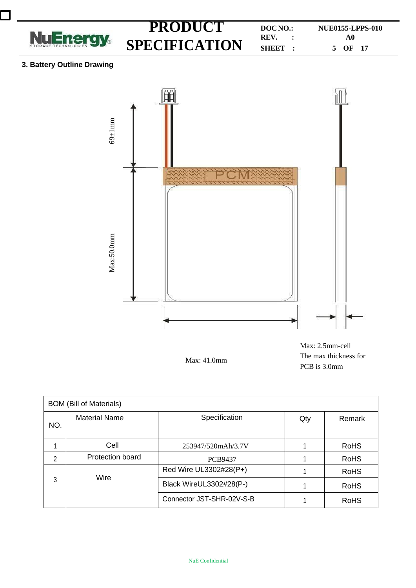

 $\mathcal{L}$ 

**PRODUCT DOCNO.: NUE0155-LPPS-010**<br> **REV.** :  $\begin{bmatrix} \text{NUC0155-LPPS-010} \\ A0 \end{bmatrix}$ **SHEET : A0 5 OF 17**

#### **3. Battery Outline Drawing**



Max: 41.0mm

Max: 2.5mm-cell The max thickness for PCB is 3.0mm

| <b>BOM (Bill of Materials)</b> |                      |                           |     |             |
|--------------------------------|----------------------|---------------------------|-----|-------------|
| NO.                            | <b>Material Name</b> | Specification             | Qty | Remark      |
|                                | Cell                 | 253947/520mAh/3.7V        |     | <b>RoHS</b> |
| 2                              | Protection board     | <b>PCB9437</b>            |     | <b>RoHS</b> |
|                                |                      | Red Wire UL3302#28(P+)    |     | <b>RoHS</b> |
| Wire<br>3                      |                      | Black WireUL3302#28(P-)   |     | <b>RoHS</b> |
|                                |                      | Connector JST-SHR-02V-S-B |     | <b>RoHS</b> |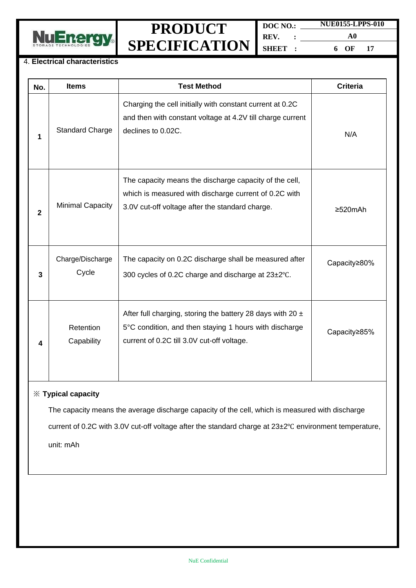



**DOC NO.: REV. : SHEET : NUE0155-LPPS-010 A0 6 OF 17**

#### 4. **Electrical characteristics**

| No.          | <b>Items</b>              | <b>Test Method</b>                                                                                                                                                     | <b>Criteria</b> |
|--------------|---------------------------|------------------------------------------------------------------------------------------------------------------------------------------------------------------------|-----------------|
| 1            | <b>Standard Charge</b>    | Charging the cell initially with constant current at 0.2C<br>and then with constant voltage at 4.2V till charge current<br>declines to 0.02C.                          | N/A             |
| $\mathbf{2}$ | <b>Minimal Capacity</b>   | The capacity means the discharge capacity of the cell,<br>which is measured with discharge current of 0.2C with<br>3.0V cut-off voltage after the standard charge.     | $\geq$ 520mAh   |
| 3            | Charge/Discharge<br>Cycle | The capacity on 0.2C discharge shall be measured after<br>300 cycles of 0.2C charge and discharge at 23±2°C.                                                           | Capacity≥80%    |
| 4            | Retention<br>Capability   | After full charging, storing the battery 28 days with 20 $\pm$<br>5°C condition, and then staying 1 hours with discharge<br>current of 0.2C till 3.0V cut-off voltage. | Capacity≥85%    |
|              |                           |                                                                                                                                                                        |                 |

#### ※ **Typical capacity**

The capacity means the average discharge capacity of the cell, which is measured with discharge current of 0.2C with 3.0V cut-off voltage after the standard charge at 23±2℃ environment temperature,

unit: mAh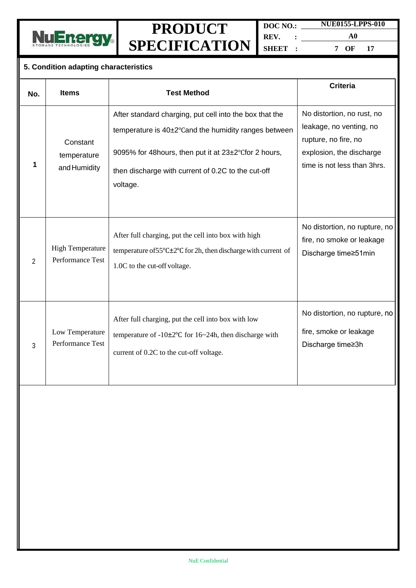

**DOC NO.: REV. : SHEET :**

**A0 7 OF 17**

**NUE0155-LPPS-010**

#### **5. Condition adapting characteristics**

| No.            | <b>Items</b>                                | <b>Test Method</b>                                                                                                                                                                                                                          | <b>Criteria</b>                                                                                                                          |
|----------------|---------------------------------------------|---------------------------------------------------------------------------------------------------------------------------------------------------------------------------------------------------------------------------------------------|------------------------------------------------------------------------------------------------------------------------------------------|
| 1              | Constant<br>temperature<br>and Humidity     | After standard charging, put cell into the box that the<br>temperature is 40±2°Cand the humidity ranges between<br>9095% for 48 hours, then put it at 23±2°C for 2 hours,<br>then discharge with current of 0.2C to the cut-off<br>voltage. | No distortion, no rust, no<br>leakage, no venting, no<br>rupture, no fire, no<br>explosion, the discharge<br>time is not less than 3hrs. |
| $\mathfrak{D}$ | <b>High Temperature</b><br>Performance Test | After full charging, put the cell into box with high<br>temperature of $55^{\circ}$ C $\pm 2^{\circ}$ C for 2h, then discharge with current of<br>1.0C to the cut-off voltage.                                                              | No distortion, no rupture, no<br>fire, no smoke or leakage<br>Discharge time≥51min                                                       |
| 3              | Low Temperature<br>Performance Test         | After full charging, put the cell into box with low<br>temperature of $-10\pm2\degree$ C for $16\sim24h$ , then discharge with<br>current of 0.2C to the cut-off voltage.                                                                   | No distortion, no rupture, no<br>fire, smoke or leakage<br>Discharge time≥3h                                                             |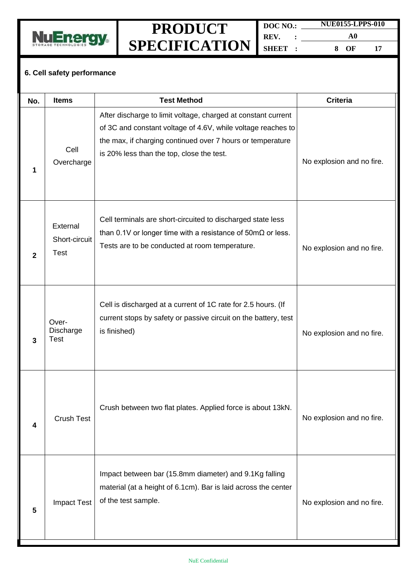

**DOC NO.: REV. : SHEET : NUE0155-LPPS-010 A0 8 OF 17**

#### **6. Cell safety performance**

| No. | <b>Items</b>                             | <b>Test Method</b>                                                                                                                                                                                                                       | <b>Criteria</b>           |
|-----|------------------------------------------|------------------------------------------------------------------------------------------------------------------------------------------------------------------------------------------------------------------------------------------|---------------------------|
| 1   | Cell<br>Overcharge                       | After discharge to limit voltage, charged at constant current<br>of 3C and constant voltage of 4.6V, while voltage reaches to<br>the max, if charging continued over 7 hours or temperature<br>is 20% less than the top, close the test. | No explosion and no fire. |
| 2   | External<br>Short-circuit<br><b>Test</b> | Cell terminals are short-circuited to discharged state less<br>than 0.1V or longer time with a resistance of $50 \text{m}\Omega$ or less.<br>Tests are to be conducted at room temperature.                                              | No explosion and no fire. |
| 3   | Over-<br>Discharge<br><b>Test</b>        | Cell is discharged at a current of 1C rate for 2.5 hours. (If<br>current stops by safety or passive circuit on the battery, test<br>is finished)                                                                                         | No explosion and no fire. |
| 4   | <b>Crush Test</b>                        | Crush between two flat plates. Applied force is about 13kN.                                                                                                                                                                              | No explosion and no fire. |
| 5   | <b>Impact Test</b>                       | Impact between bar (15.8mm diameter) and 9.1Kg falling<br>material (at a height of 6.1cm). Bar is laid across the center<br>of the test sample.                                                                                          | No explosion and no fire. |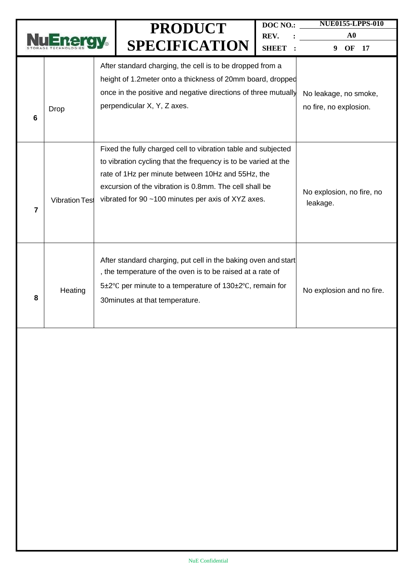|   |                       | <b>PRODUCT</b><br><b>SPECIFICATION</b>                                                                                                                                                                                                                                                               | DOC NO.:<br>REV.<br><b>SHEET</b> | <b>NUE0155-LPPS-010</b><br>${\bf A0}$<br>9<br>OF<br>17 |
|---|-----------------------|------------------------------------------------------------------------------------------------------------------------------------------------------------------------------------------------------------------------------------------------------------------------------------------------------|----------------------------------|--------------------------------------------------------|
| 6 | <b>Drop</b>           | After standard charging, the cell is to be dropped from a<br>height of 1.2 meter onto a thickness of 20mm board, dropped<br>once in the positive and negative directions of three mutually<br>perpendicular X, Y, Z axes.                                                                            |                                  | No leakage, no smoke,<br>no fire, no explosion.        |
| 7 | <b>Vibration Test</b> | Fixed the fully charged cell to vibration table and subjected<br>to vibration cycling that the frequency is to be varied at the<br>rate of 1Hz per minute between 10Hz and 55Hz, the<br>excursion of the vibration is 0.8mm. The cell shall be<br>vibrated for 90 ~100 minutes per axis of XYZ axes. |                                  | No explosion, no fire, no<br>leakage.                  |
| 8 | Heating               | After standard charging, put cell in the baking oven and start<br>, the temperature of the oven is to be raised at a rate of<br>5±2°C per minute to a temperature of 130±2°C, remain for<br>30 minutes at that temperature.                                                                          |                                  | No explosion and no fire.                              |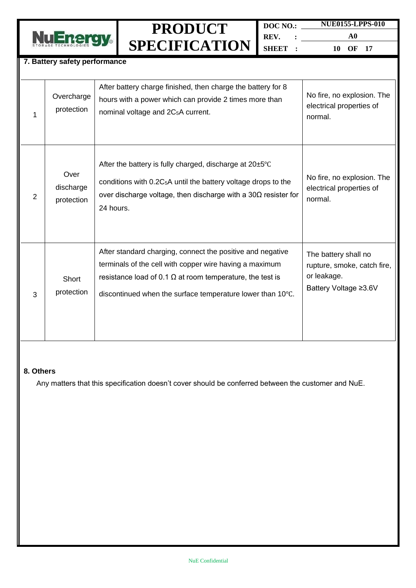

**7. Battery safety performance**

### **PRODUCT SPECIFICATION**

**DOC NO.: REV. : SHEET : NUE0155-LPPS-010**

**A0 10 OF 17**

|   | Overcharge<br>protection        | After battery charge finished, then charge the battery for 8<br>hours with a power which can provide 2 times more than<br>nominal voltage and 2C <sub>5</sub> A current.                                                                                | No fire, no explosion. The<br>electrical properties of<br>normal.                           |
|---|---------------------------------|---------------------------------------------------------------------------------------------------------------------------------------------------------------------------------------------------------------------------------------------------------|---------------------------------------------------------------------------------------------|
| 2 | Over<br>discharge<br>protection | After the battery is fully charged, discharge at $20\pm5^{\circ}$ C<br>conditions with $0.2C_5A$ until the battery voltage drops to the<br>over discharge voltage, then discharge with a $30\Omega$ resister for<br>24 hours.                           | No fire, no explosion. The<br>electrical properties of<br>normal.                           |
| 3 | Short<br>protection             | After standard charging, connect the positive and negative<br>terminals of the cell with copper wire having a maximum<br>resistance load of 0.1 $\Omega$ at room temperature, the test is<br>discontinued when the surface temperature lower than 10°C. | The battery shall no<br>rupture, smoke, catch fire,<br>or leakage.<br>Battery Voltage ≥3.6V |

#### **8. Others**

Any matters that this specification doesn't cover should be conferred between the customer and NuE.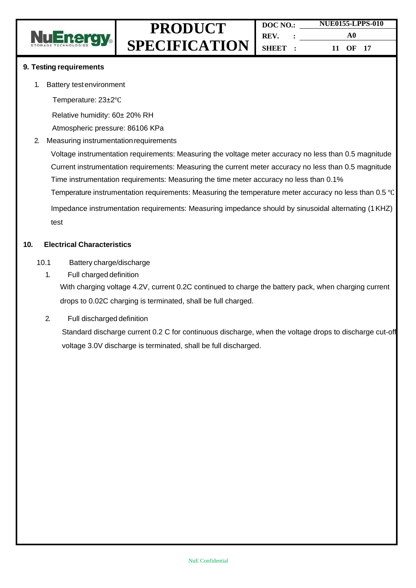

#### **9. Testing requirements**

1. Battery testenvironment

Temperature: 23±2℃

Relative humidity: 60± 20% RH

Atmospheric pressure: 86106 KPa

2. Measuring instrumentationrequirements

Voltage instrumentation requirements: Measuring the voltage meter accuracy no less than 0.5 magnitude Current instrumentation requirements: Measuring the current meter accuracy no less than 0.5 magnitude Time instrumentation requirements: Measuring the time meter accuracy no less than 0.1%

Temperature instrumentation requirements: Measuring the temperature meter accuracy no less than 0.5 ℃

Impedance instrumentation requirements: Measuring impedance should by sinusoidal alternating (1KHZ) test

#### **10. Electrical Characteristics**

- 10.1 Battery charge/discharge
	- 1. Full charged definition

With charging voltage 4.2V, current 0.2C continued to charge the battery pack, when charging current drops to 0.02C charging is terminated, shall be full charged.

2. Full discharged definition

Standard discharge current 0.2 C for continuous discharge, when the voltage drops to discharge cut-off voltage 3.0V discharge is terminated, shall be full discharged.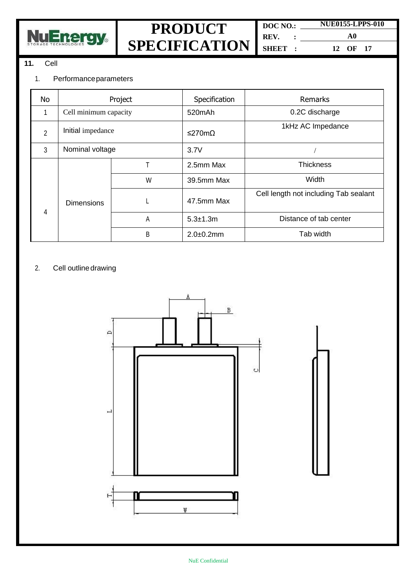

**DOC NO.: REV. : SHEET :**

**NUE0155-LPPS-010 A0 12 OF 17**

### **11.** Cell

### 1. Performanceparameters

| No             | Project               |   | Specification  | Remarks                               |
|----------------|-----------------------|---|----------------|---------------------------------------|
|                | Cell minimum capacity |   | 520mAh         | 0.2C discharge                        |
| $\overline{2}$ | Initial impedance     |   | ≤270mΩ         | 1kHz AC Impedance                     |
| 3              | Nominal voltage       |   | 3.7V           |                                       |
|                | <b>Dimensions</b>     |   | 2.5mm Max      | <b>Thickness</b>                      |
|                |                       | W | 39.5mm Max     | Width                                 |
| 4              |                       |   | 47.5mm Max     | Cell length not including Tab sealant |
|                |                       | А | $5.3 + 1.3m$   | Distance of tab center                |
|                |                       | B | $2.0 + 0.2$ mm | Tab width                             |

### 2. Cell outline drawing

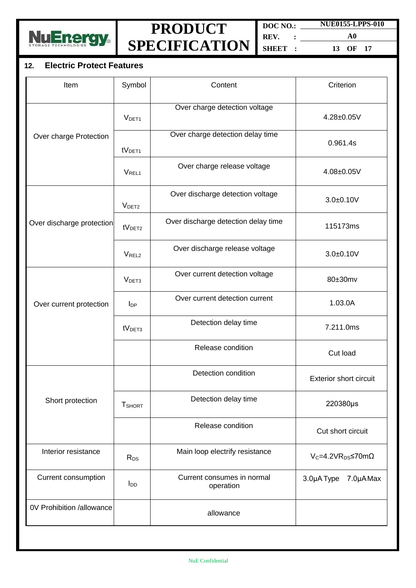

**DOC NO.: REV. : SHEET :**

**A0 13 OF 17**

**NUE0155-LPPS-010**

#### **12. Electric Protect Features**

| Item                      | Symbol                    | Content                                 | Criterion                          |
|---------------------------|---------------------------|-----------------------------------------|------------------------------------|
|                           | V <sub>DET1</sub>         | Over charge detection voltage           | 4.28±0.05V                         |
| Over charge Protection    | tV <sub>DET1</sub>        | Over charge detection delay time        | 0.961.4s                           |
|                           | <b>VREL1</b>              | Over charge release voltage             | 4.08±0.05V                         |
|                           | V <sub>DET2</sub>         | Over discharge detection voltage        | $3.0 + 0.10V$                      |
| Over discharge protection | tV <sub>DET2</sub>        | Over discharge detection delay time     | 115173ms                           |
|                           | V <sub>REL2</sub>         | Over discharge release voltage          | $3.0 + 0.10V$                      |
|                           | V <sub>DET3</sub>         | Over current detection voltage          | 80±30mv                            |
| Over current protection   | $I_{\text{DP}}$           | Over current detection current          | 1.03.0A                            |
|                           | tV <sub>DET3</sub>        | Detection delay time                    | 7.211.0ms                          |
|                           |                           | Release condition                       | Cut load                           |
|                           |                           | Detection condition                     | <b>Exterior short circuit</b>      |
| Short protection          | <b>T</b> <sub>SHORT</sub> | Detection delay time                    | 220380µs                           |
|                           |                           | Release condition                       | Cut short circuit                  |
| Interior resistance       | R <sub>DS</sub>           | Main loop electrify resistance          | $V_c = 4.2 VR_{DS} \le 70 m\Omega$ |
| Current consumption       | l <sub>DD</sub>           | Current consumes in normal<br>operation | 3.0µA Type 7.0µA Max               |
| 0V Prohibition /allowance |                           | allowance                               |                                    |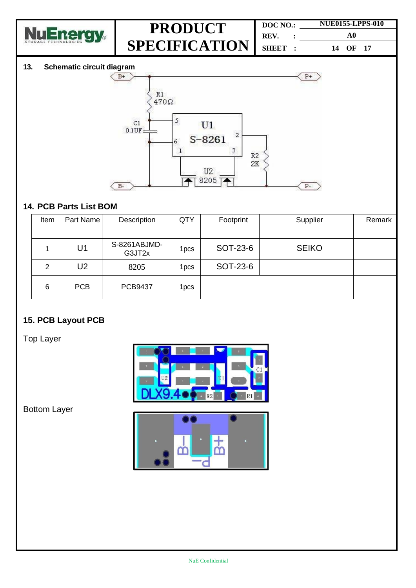

| DOC NO. |          | <b>NUE0155-LPPS-010</b> |  |  |
|---------|----------|-------------------------|--|--|
| REV.    | $\sim$ : | A0                      |  |  |
| SHEET : |          | 14 OF 17                |  |  |

#### **13. Schematic circuit diagram**



### **14. PCB Parts List BOM**

| Item           | Part Name      | Description            | QTY              | Footprint | Supplier     | Remark |
|----------------|----------------|------------------------|------------------|-----------|--------------|--------|
|                | U1             | S-8261ABJMD-<br>G3JT2x | 1 <sub>pcs</sub> | SOT-23-6  | <b>SEIKO</b> |        |
| $\overline{2}$ | U <sub>2</sub> | 8205                   | 1 <sub>pcs</sub> | SOT-23-6  |              |        |
| 6              | <b>PCB</b>     | <b>PCB9437</b>         | 1 <sub>pcs</sub> |           |              |        |

### **15. PCB Layout PCB**

Top Layer



Bottom Layer

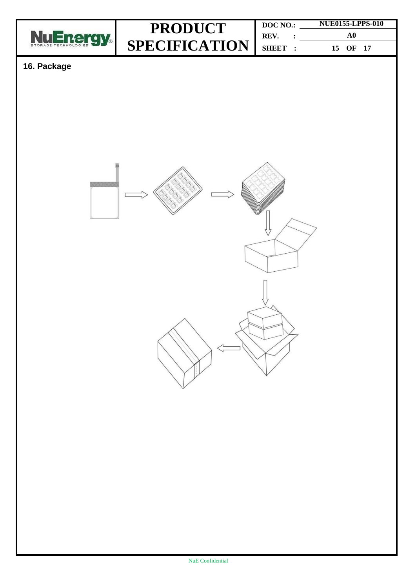

**DOC NO.: REV. : SHEET : NUE0155-LPPS-010 A0 15 OF 17**

### **16. Package**

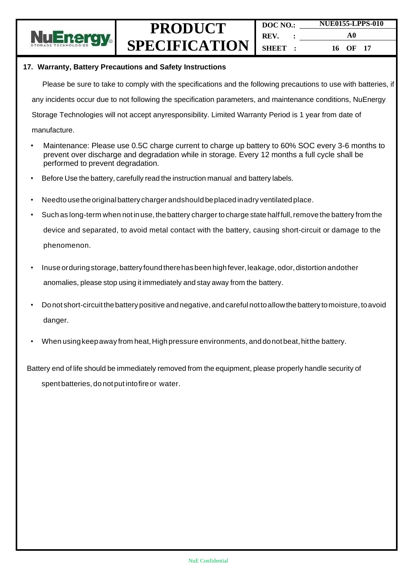

#### **17. Warranty, Battery Precautions and Safety Instructions**

Please be sure to take to comply with the specifications and the following precautions to use with batteries, if

any incidents occur due to not following the specification parameters, and maintenance conditions, NuEnergy

Storage Technologies will not accept anyresponsibility. Limited Warranty Period is 1 year from date of

- manufacture.
- Maintenance: Please use 0.5C charge current to charge up battery to 60% SOC every 3-6 months to prevent over discharge and degradation while in storage. Every 12 months a full cycle shall be performed to prevent degradation.
- Before Use the battery, carefully read the instruction manual and battery labels.
- Needto usetheoriginalbattery charger andshould beplaced inadry ventilatedplace.
- Such as long-term when not in use, the battery charger to charge state half full, remove the battery from the device and separated, to avoid metal contact with the battery, causing short-circuit or damage to the phenomenon.
- Inuse orduring storage, battery found there has been high fever, leakage, odor, distortion andother anomalies, please stop using it immediately and stay away from the battery.
- Donot short-circuitthebattery positive andnegative, andcareful nottoallowthe battery tomoisture, toavoid danger.
- When using keep away from heat, High pressure environments, and donot beat, hit the battery.

Battery end of life should be immediately removed from the equipment, please properly handle security of spent batteries, do notput intofireor water.